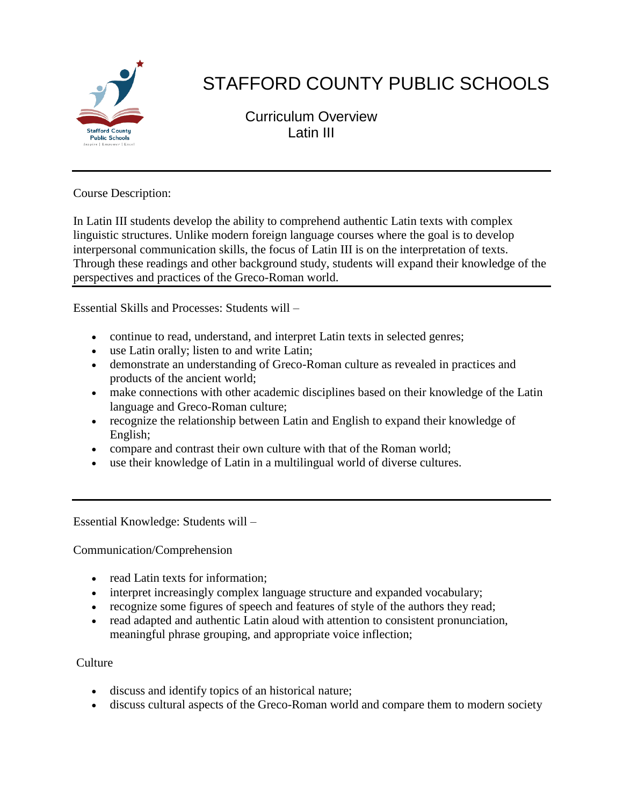

# STAFFORD COUNTY PUBLIC SCHOOLS

Curriculum Overview Latin III

Course Description:

In Latin III students develop the ability to comprehend authentic Latin texts with complex linguistic structures. Unlike modern foreign language courses where the goal is to develop interpersonal communication skills, the focus of Latin III is on the interpretation of texts. Through these readings and other background study, students will expand their knowledge of the perspectives and practices of the Greco-Roman world.

Essential Skills and Processes: Students will –

- continue to read, understand, and interpret Latin texts in selected genres;
- use Latin orally; listen to and write Latin;
- demonstrate an understanding of Greco-Roman culture as revealed in practices and products of the ancient world;
- make connections with other academic disciplines based on their knowledge of the Latin language and Greco-Roman culture;
- recognize the relationship between Latin and English to expand their knowledge of English;
- compare and contrast their own culture with that of the Roman world;
- use their knowledge of Latin in a multilingual world of diverse cultures.

Essential Knowledge: Students will –

Communication/Comprehension

- read Latin texts for information:
- interpret increasingly complex language structure and expanded vocabulary;
- recognize some figures of speech and features of style of the authors they read;
- read adapted and authentic Latin aloud with attention to consistent pronunciation, meaningful phrase grouping, and appropriate voice inflection;

## Culture

- discuss and identify topics of an historical nature;
- discuss cultural aspects of the Greco-Roman world and compare them to modern society